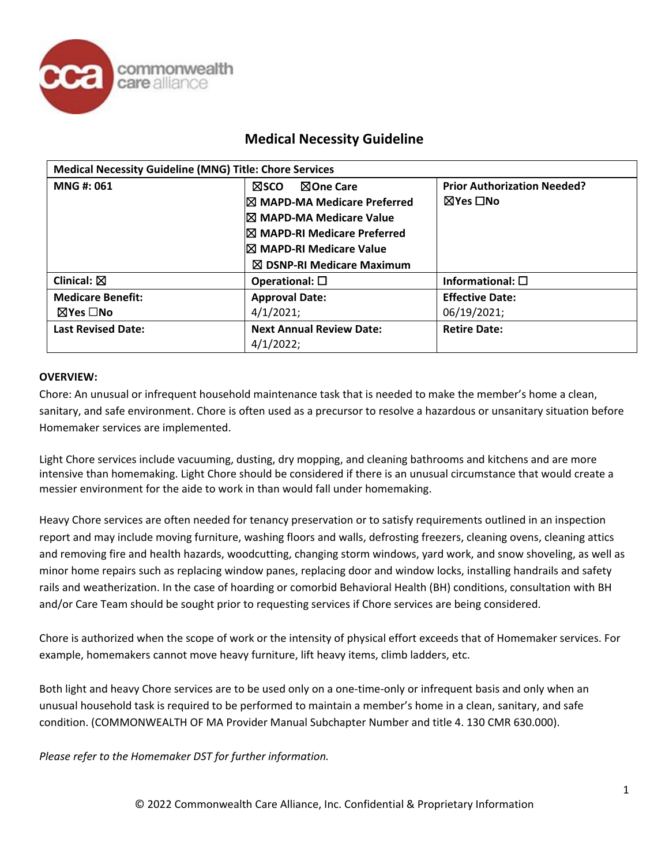

| <b>Medical Necessity Guideline (MNG) Title: Chore Services</b> |                                                                                                                                                                                                       |                                                |  |
|----------------------------------------------------------------|-------------------------------------------------------------------------------------------------------------------------------------------------------------------------------------------------------|------------------------------------------------|--|
| MNG #: 061                                                     | ⊠One Care<br>⊠sco<br>$\boxtimes$ MAPD-MA Medicare Preferred<br>I⊠ MAPD-MA Medicare Value<br><b>IX MAPD-RI Medicare Preferred</b><br>I⊠ MAPD-RI Medicare Value<br>$\boxtimes$ DSNP-RI Medicare Maximum | <b>Prior Authorization Needed?</b><br>⊠Yes □No |  |
| Clinical: $\boxtimes$                                          | Operational: $\square$                                                                                                                                                                                | Informational: $\square$                       |  |
| <b>Medicare Benefit:</b><br>$\boxtimes$ Yes $\Box$ No          | <b>Approval Date:</b><br>4/1/2021;                                                                                                                                                                    | <b>Effective Date:</b><br>06/19/2021;          |  |
| <b>Last Revised Date:</b>                                      | <b>Next Annual Review Date:</b><br>4/1/2022;                                                                                                                                                          | <b>Retire Date:</b>                            |  |

#### **OVERVIEW:**

Chore: An unusual or infrequent household maintenance task that is needed to make the member's home a clean, sanitary, and safe environment. Chore is often used as a precursor to resolve a hazardous or unsanitary situation before Homemaker services are implemented.

Light Chore services include vacuuming, dusting, dry mopping, and cleaning bathrooms and kitchens and are more intensive than homemaking. Light Chore should be considered if there is an unusual circumstance that would create a messier environment for the aide to work in than would fall under homemaking.

Heavy Chore services are often needed for tenancy preservation or to satisfy requirements outlined in an inspection report and may include moving furniture, washing floors and walls, defrosting freezers, cleaning ovens, cleaning attics and removing fire and health hazards, woodcutting, changing storm windows, yard work, and snow shoveling, as well as minor home repairs such as replacing window panes, replacing door and window locks, installing handrails and safety rails and weatherization. In the case of hoarding or comorbid Behavioral Health (BH) conditions, consultation with BH and/or Care Team should be sought prior to requesting services if Chore services are being considered.

Chore is authorized when the scope of work or the intensity of physical effort exceeds that of Homemaker services. For example, homemakers cannot move heavy furniture, lift heavy items, climb ladders, etc.

Both light and heavy Chore services are to be used only on a one-time-only or infrequent basis and only when an unusual household task is required to be performed to maintain a member's home in a clean, sanitary, and safe condition. (COMMONWEALTH OF MA Provider Manual Subchapter Number and title 4. 130 CMR 630.000).

*Please refer to the Homemaker DST for further information.*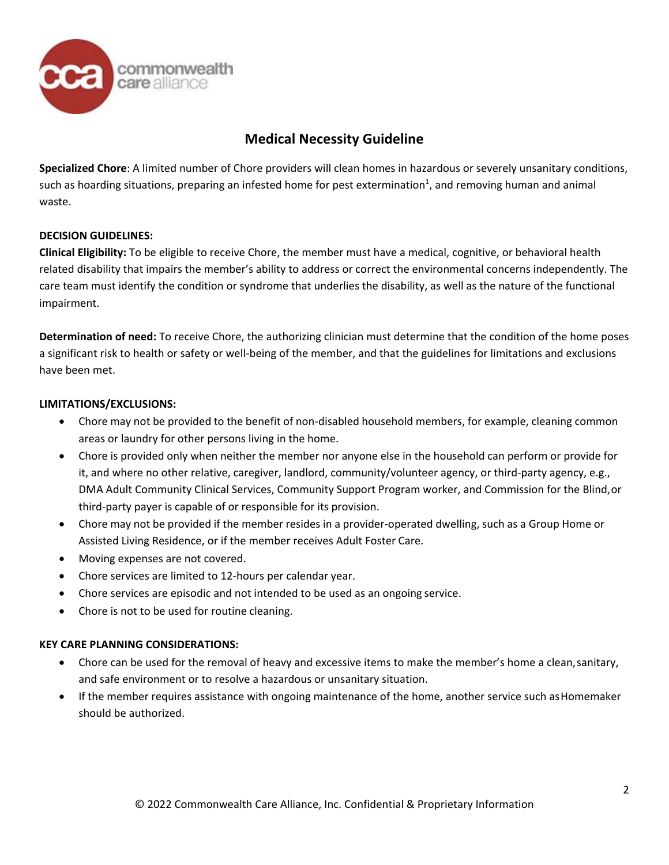

**Specialized Chore**: A limited number of Chore providers will clean homes in hazardous or severely unsanitary conditions, such as hoarding situations, preparing an infested home for pest extermination<sup>1</sup>, and removing human and animal waste.

#### **DECISION GUIDELINES:**

**Clinical Eligibility:** To be eligible to receive Chore, the member must have a medical, cognitive, or behavioral health related disability that impairs the member's ability to address or correct the environmental concerns independently. The care team must identify the condition or syndrome that underlies the disability, as well as the nature of the functional impairment.

**Determination of need:** To receive Chore, the authorizing clinician must determine that the condition of the home poses a significant risk to health or safety or well-being of the member, and that the guidelines for limitations and exclusions have been met.

#### **LIMITATIONS/EXCLUSIONS:**

- Chore may not be provided to the benefit of non-disabled household members, for example, cleaning common areas or laundry for other persons living in the home.
- Chore is provided only when neither the member nor anyone else in the household can perform or provide for it, and where no other relative, caregiver, landlord, community/volunteer agency, or third-party agency, e.g., DMA Adult Community Clinical Services, Community Support Program worker, and Commission for the Blind,or third-party payer is capable of or responsible for its provision.
- Chore may not be provided if the member resides in a provider-operated dwelling, such as a Group Home or Assisted Living Residence, or if the member receives Adult Foster Care.
- Moving expenses are not covered.
- Chore services are limited to 12-hours per calendar year.
- Chore services are episodic and not intended to be used as an ongoing service.
- Chore is not to be used for routine cleaning.

#### **KEY CARE PLANNING CONSIDERATIONS:**

- Chore can be used for the removal of heavy and excessive items to make the member's home a clean,sanitary, and safe environment or to resolve a hazardous or unsanitary situation.
- If the member requires assistance with ongoing maintenance of the home, another service such asHomemaker should be authorized.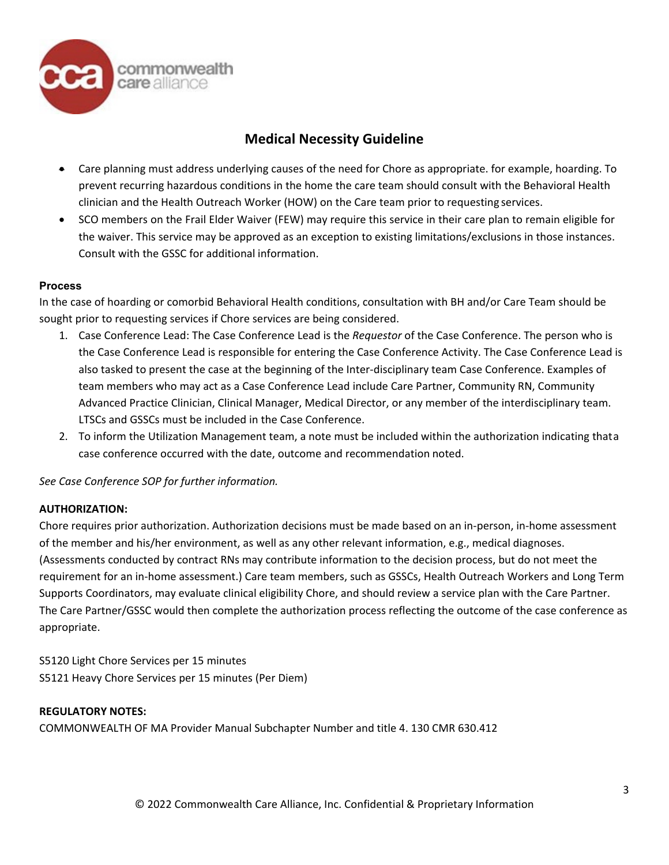

- Care planning must address underlying causes of the need for Chore as appropriate. for example, hoarding. To prevent recurring hazardous conditions in the home the care team should consult with the Behavioral Health clinician and the Health Outreach Worker (HOW) on the Care team prior to requesting services.
- SCO members on the Frail Elder Waiver (FEW) may require this service in their care plan to remain eligible for the waiver. This service may be approved as an exception to existing limitations/exclusions in those instances. Consult with the GSSC for additional information.

#### **Process**

In the case of hoarding or comorbid Behavioral Health conditions, consultation with BH and/or Care Team should be sought prior to requesting services if Chore services are being considered.

- 1. Case Conference Lead: The Case Conference Lead is the *Requestor* of the Case Conference. The person who is the Case Conference Lead is responsible for entering the Case Conference Activity. The Case Conference Lead is also tasked to present the case at the beginning of the Inter-disciplinary team Case Conference. Examples of team members who may act as a Case Conference Lead include Care Partner, Community RN, Community Advanced Practice Clinician, Clinical Manager, Medical Director, or any member of the interdisciplinary team. LTSCs and GSSCs must be included in the Case Conference.
- 2. To inform the Utilization Management team, a note must be included within the authorization indicating thata case conference occurred with the date, outcome and recommendation noted.

*See Case Conference SOP for further information.*

#### **AUTHORIZATION:**

Chore requires prior authorization. Authorization decisions must be made based on an in-person, in-home assessment of the member and his/her environment, as well as any other relevant information, e.g., medical diagnoses. (Assessments conducted by contract RNs may contribute information to the decision process, but do not meet the requirement for an in-home assessment.) Care team members, such as GSSCs, Health Outreach Workers and Long Term Supports Coordinators, may evaluate clinical eligibility Chore, and should review a service plan with the Care Partner. The Care Partner/GSSC would then complete the authorization process reflecting the outcome of the case conference as appropriate.

S5120 Light Chore Services per 15 minutes S5121 Heavy Chore Services per 15 minutes (Per Diem)

#### **REGULATORY NOTES:**

COMMONWEALTH OF MA Provider Manual Subchapter Number and title 4. 130 CMR 630.412